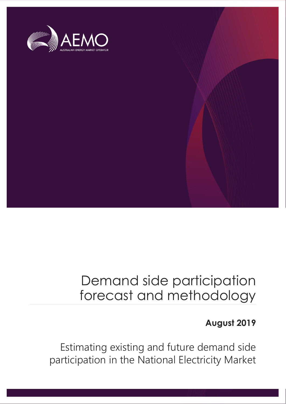

# Demand side participation forecast and methodology

# **August 2019**

Estimating existing and future demand side participation in the National Electricity Market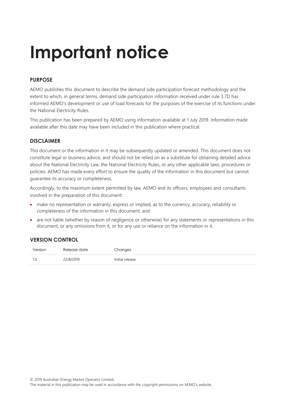# **Important notice**

### **PURPOSE**

AEMO publishes this document to describe the demand side participation forecast methodology and the extent to which, in general terms, demand side participation information received under rule 3.7D has informed AEMO's development or use of load forecasts for the purposes of the exercise of its functions under the National Electricity Rules.

This publication has been prepared by AEMO using information available at 1 July 2019. Information made available after this date may have been included in this publication where practical.

#### **DISCLAIMER**

This document or the information in it may be subsequently updated or amended. This document does not constitute legal or business advice, and should not be relied on as a substitute for obtaining detailed advice about the National Electricity Law, the National Electricity Rules, or any other applicable laws, procedures or policies. AEMO has made every effort to ensure the quality of the information in this document but cannot guarantee its accuracy or completeness.

Accordingly, to the maximum extent permitted by law, AEMO and its officers, employees and consultants involved in the preparation of this document:

- make no representation or warranty, express or implied, as to the currency, accuracy, reliability or completeness of the information in this document; and
- are not liable (whether by reason of negligence or otherwise) for any statements or representations in this document, or any omissions from it, or for any use or reliance on the information in it.

#### **VERSION CONTROL**

| Version | Release date | Changes         |
|---------|--------------|-----------------|
|         | 22/8/2019    | Initial release |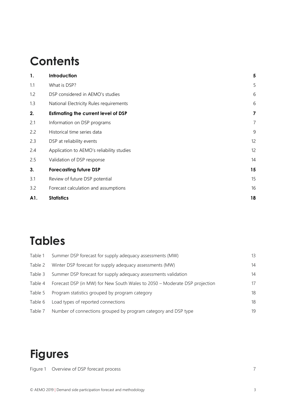# **Contents**

| 1.  | Introduction                               | 5                       |
|-----|--------------------------------------------|-------------------------|
| 1.1 | What is DSP?                               | 5                       |
| 1.2 | DSP considered in AEMO's studies           | 6                       |
| 1.3 | National Electricity Rules requirements    | 6                       |
| 2.  | <b>Estimating the current level of DSP</b> | $\overline{\mathbf{z}}$ |
| 2.1 | Information on DSP programs                | $\overline{7}$          |
| 2.2 | Historical time series data                | 9                       |
| 2.3 | DSP at reliability events                  | 12                      |
| 2.4 | Application to AEMO's reliability studies  | 12                      |
| 2.5 | Validation of DSP response                 | 14                      |
| 3.  | <b>Forecasting future DSP</b>              | 15                      |
| 3.1 | Review of future DSP potential             | 15                      |
| 3.2 | Forecast calculation and assumptions       | 16                      |
| A1. | <b>Statistics</b>                          | 18                      |

# **Tables**

| Table 1 | Summer DSP forecast for supply adequacy assessments (MW)                   | 13 |
|---------|----------------------------------------------------------------------------|----|
| Table 2 | Winter DSP forecast for supply adequacy assessments (MW)                   | 14 |
| Table 3 | Summer DSP forecast for supply adequacy assessments validation             | 14 |
| Table 4 | Forecast DSP (in MW) for New South Wales to 2050 - Moderate DSP projection | 17 |
| Table 5 | Program statistics grouped by program category                             | 18 |
| Table 6 | Load types of reported connections                                         | 18 |
| Table 7 | Number of connections grouped by program category and DSP type             | 19 |

# **Figures**

Figure 1 [Overview of DSP forecast process](#page-6-2) 7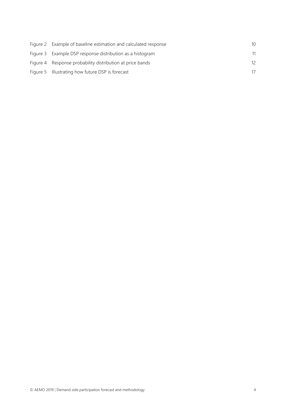| 10                                                                                                                                                                                                                                            |
|-----------------------------------------------------------------------------------------------------------------------------------------------------------------------------------------------------------------------------------------------|
| 11                                                                                                                                                                                                                                            |
| 12 <sup>°</sup>                                                                                                                                                                                                                               |
| 17                                                                                                                                                                                                                                            |
| Figure 2 Example of baseline estimation and calculated response<br>Figure 3 Example DSP response distribution as a histogram<br>Figure 4 Response probability distribution at price bands<br>Figure 5 Illustrating how future DSP is forecast |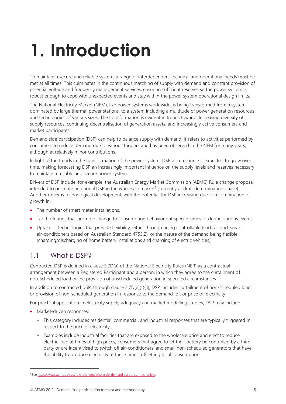# <span id="page-4-0"></span>**1. Introduction**

To maintain a secure and reliable system, a range of interdependent technical and operational needs must be met at all times. This culminates in the continuous matching of supply with demand and constant provision of essential voltage and frequency management services, ensuring sufficient reserves so the power system is robust enough to cope with unexpected events and stay within the power system operational design limits.

The National Electricity Market (NEM), like power systems worldwide, is being transformed from a system dominated by large thermal power stations, to a system including a multitude of power generation resources and technologies of various sizes. The transformation is evident in trends towards Increasing diversity of supply resources, continuing decentralisation of generation assets, and increasingly active consumers and market participants.

Demand side participation (DSP) can help to balance supply with demand. It refers to activities performed by consumers to reduce demand due to various triggers and has been observed in the NEM for many years, although at relatively minor contributions.

In light of the trends in the transformation of the power system, DSP as a resource is expected to grow over time, making forecasting DSP an increasingly important influence on the supply levels and reserves necessary to maintain a reliable and secure power system.

Drivers of DSP include, for example, the Australian Energy Market Commission (AEMC) Rule change proposal intended to promote additional DSP in the wholesale market<sup>1</sup> (currently at draft determination phase). Another driver is technological development, with the potential for DSP increasing due to a combination of growth in:

- The number of smart meter installations.
- Tariff offerings that promote change to consumption behaviour at specific times or during various events.
- Uptake of technologies that provide flexibility, either through being controllable (such as grid-smart air-conditioners based on Australian Standard 4755.2), or the nature of the demand being flexible (charging/discharging of home battery installations and charging of electric vehicles).

## <span id="page-4-1"></span>1.1 What is DSP?

Contracted DSP is defined in clause 3.7D(a) of the National Electricity Rules (NER) as a contractual arrangement between a Registered Participant and a person, in which they agree to the curtailment of non-scheduled load or the provision of unscheduled generation in specified circumstances.

In addition to contracted DSP, through clause 3.7D(e)(1)(ii), DSP includes curtailment of non-scheduled load or provision of non-scheduled generation in response to the demand for, or price of, electricity.

For practical application in electricity supply adequacy and market modelling studies, DSP may include:

• Market-driven responses:

- This category includes residential, commercial, and industrial responses that are typically triggered in respect to the price of electricity.
- Examples include industrial facilities that are exposed to the wholesale price and elect to reduce electric load at times of high prices, consumers that agree to let their battery be controlled by a third party or are incentivised to switch off air-conditioners, and small non-scheduled generators that have the ability to produce electricity at these times, offsetting local consumption.

<sup>1</sup> Se[e https://www.aemc.gov.au/rule-changes/wholesale-demand-response-mechanism.](https://www.aemc.gov.au/rule-changes/wholesale-demand-response-mechanism)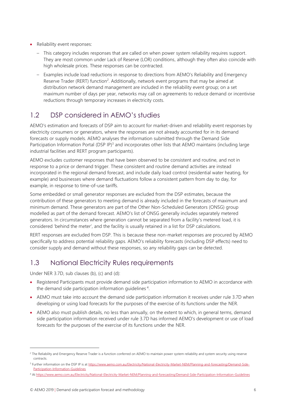- Reliability event responses:
	- This category includes responses that are called on when power system reliability requires support. They are most common under Lack of Reserve (LOR) conditions, although they often also coincide with high wholesale prices. These responses can be contracted.
	- Examples include load reductions in response to directions from AEMO's Reliability and Emergency Reserve Trader (RERT) function<sup>2</sup>. Additionally, network event programs that may be aimed at distribution network demand management are included in the reliability event group; on a set maximum number of days per year, networks may call on agreements to reduce demand or incentivise reductions through temporary increases in electricity costs.

# <span id="page-5-0"></span>1.2 DSP considered in AEMO's studies

AEMO's estimation and forecasts of DSP aim to account for market-driven and reliability event responses by electricity consumers or generators, where the responses are not already accounted for in its demand forecasts or supply models. AEMO analyses the information submitted through the Demand Side Participation Information Portal (DSP IP)<sup>3</sup> and incorporates other lists that AEMO maintains (including large industrial facilities and RERT program participants).

AEMO excludes customer responses that have been observed to be consistent and routine, and not in response to a price or demand trigger. These consistent and routine demand activities are instead incorporated in the regional demand forecast, and include daily load control (residential water heating, for example) and businesses where demand fluctuations follow a consistent pattern from day to day, for example, in response to time-of-use tariffs.

Some embedded or small generator responses are excluded from the DSP estimates, because the contribution of these generators to meeting demand is already included in the forecasts of maximum and minimum demand. These generators are part of the Other Non-Scheduled Generators (ONSG) group modelled as part of the demand forecast. AEMO's list of ONSG generally includes separately metered generators. In circumstances where generation cannot be separated from a facility's metered load, it is considered 'behind the meter', and the facility is usually retained in a list for DSP calculations.

RERT responses are excluded from DSP. This is because these non-market responses are procured by AEMO specifically to address potential reliability gaps. AEMO's reliability forecasts (including DSP effects) need to consider supply and demand without these responses, so any reliability gaps can be detected.

# <span id="page-5-1"></span>1.3 National Electricity Rules requirements

Under NER 3.7D, sub clauses (b), (c) and (d):

- Registered Participants must provide demand side participation information to AEMO in accordance with the demand side participation information quidelines<sup>4</sup>.
- AEMO must take into account the demand side participation information it receives under rule 3.7D when developing or using load forecasts for the purposes of the exercise of its functions under the NER.
- AEMO also must publish details, no less than annually, on the extent to which, in general terms, demand side participation information received under rule 3.7D has informed AEMO's development or use of load forecasts for the purposes of the exercise of its functions under the NER.

<sup>&</sup>lt;sup>2</sup> The Reliability and Emergency Reserve Trader is a function conferred on AEMO to maintain power system reliability and system security using reserve contracts.

<sup>&</sup>lt;sup>3</sup> Further information on the DSP IP is a[t https://www.aemo.com.au/Electricity/National-Electricity-Market-NEM/Planning-and-forecasting/Demand-Side-](https://www.aemo.com.au/Electricity/National-Electricity-Market-NEM/Planning-and-forecasting/Demand-Side-Participation-Information-Guidelines)[Participation-Information-Guidelines](https://www.aemo.com.au/Electricity/National-Electricity-Market-NEM/Planning-and-forecasting/Demand-Side-Participation-Information-Guidelines)

<sup>4</sup> A[t https://www.aemo.com.au/Electricity/National-Electricity-Market-NEM/Planning-and-forecasting/Demand-Side-Participation-Information-Guidelines](https://www.aemo.com.au/Electricity/National-Electricity-Market-NEM/Planning-and-forecasting/Demand-Side-Participation-Information-Guidelines)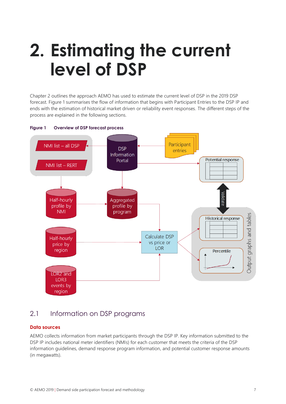# <span id="page-6-0"></span>**2. Estimating the current level of DSP**

Chapter [2](#page-6-0) outlines the approach AEMO has used to estimate the current level of DSP in the 2019 DSP forecast. [Figure 1](#page-6-2) summarises the flow of information that begins with Participant Entries to the DSP IP and ends with the estimation of historical market driven or reliability event responses. The different steps of the process are explained in the following sections.



#### <span id="page-6-2"></span>**Figure 1 Overview of DSP forecast process**

### <span id="page-6-1"></span>2.1 Information on DSP programs

#### **Data sources**

AEMO collects information from market participants through the DSP IP. Key information submitted to the DSP IP includes national meter identifiers (NMIs) for each customer that meets the criteria of the DSP information guidelines, demand response program information, and potential customer response amounts (in megawatts).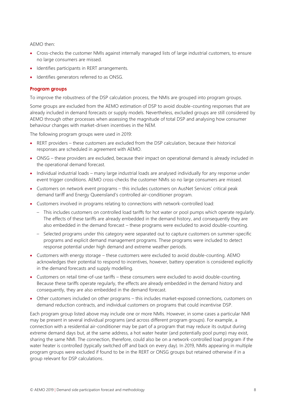AEMO then:

- Cross-checks the customer NMIs against internally managed lists of large industrial customers, to ensure no large consumers are missed.
- Identifies participants in RERT arrangements.
- Identifies generators referred to as ONSG.

#### **Program groups**

To improve the robustness of the DSP calculation process, the NMIs are grouped into program groups.

Some groups are excluded from the AEMO estimation of DSP to avoid double-counting responses that are already included in demand forecasts or supply models. Nevertheless, excluded groups are still considered by AEMO through other processes when assessing the magnitude of total DSP and analysing how consumer behaviour changes with market-driven incentives in the NEM.

The following program groups were used in 2019:

- RERT providers these customers are excluded from the DSP calculation, because their historical responses are scheduled in agreement with AEMO.
- ONSG these providers are excluded, because their impact on operational demand is already included in the operational demand forecast.
- Individual industrial loads many large industrial loads are analysed individually for any response under event trigger conditions. AEMO cross-checks the customer NMIs so no large consumers are missed.
- Customers on network event programs this includes customers on AusNet Services' critical peak demand tariff and Energy Queensland's controlled air-conditioner program.
- Customers involved in programs relating to connections with network-controlled load:
	- This includes customers on controlled load tariffs for hot water or pool pumps which operate regularly. The effects of these tariffs are already embedded in the demand history, and consequently they are also embedded in the demand forecast – these programs were excluded to avoid double-counting.
	- Selected programs under this category were separated out to capture customers on summer-specific programs and explicit demand management programs. These programs were included to detect response potential under high demand and extreme weather periods.
- Customers with energy storage these customers were excluded to avoid double-counting. AEMO acknowledges their potential to respond to incentives, however, battery operation is considered explicitly in the demand forecasts and supply modelling.
- Customers on retail time-of-use tariffs these consumers were excluded to avoid double-counting. Because these tariffs operate regularly, the effects are already embedded in the demand history and consequently, they are also embedded in the demand forecast.
- Other customers included on other programs this includes market-exposed connections, customers on demand reduction contracts, and individual customers on programs that could incentivise DSP.

Each program group listed above may include one or more NMIs. However, in some cases a particular NMI may be present in several individual programs (and across different program groups). For example, a connection with a residential air-conditioner may be part of a program that may reduce its output during extreme demand days but, at the same address, a hot water heater (and potentially pool pump) may exist, sharing the same NMI. The connection, therefore, could also be on a network-controlled load program if the water heater is controlled (typically switched off and back on every day). In 2019, NMIs appearing in multiple program groups were excluded if found to be in the RERT or ONSG groups but retained otherwise if in a group relevant for DSP calculations.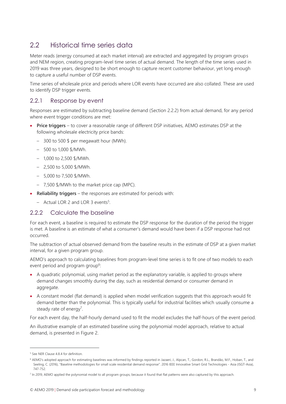# <span id="page-8-0"></span>2.2 Historical time series data

Meter reads (energy consumed at each market interval) are extracted and aggregated by program groups and NEM region, creating program-level time series of actual demand. The length of the time series used in 2019 was three years, designed to be short enough to capture recent customer behaviour, yet long enough to capture a useful number of DSP events.

Time series of wholesale price and periods where LOR events have occurred are also collated. These are used to identify DSP trigger events.

#### 2.2.1 Response by event

Responses are estimated by subtracting baseline demand (Section [2.2.2\)](#page-8-1) from actual demand, for any period where event trigger conditions are met:

- **Price triggers** to cover a reasonable range of different DSP initiatives, AEMO estimates DSP at the following wholesale electricity price bands:
	- 300 to 500 \$ per megawatt hour (MWh).
	- 500 to 1,000 \$/MWh.
	- 1,000 to 2,500 \$/MWh.
	- 2,500 to 5,000 \$/MWh.
	- 5,000 to 7,500 \$/MWh.
	- 7,500 \$/MWh to the market price cap (MPC).
- **Reliability triggers** the responses are estimated for periods with:
	- Actual LOR 2 and LOR 3 events<sup>5</sup>.

### <span id="page-8-1"></span>2.2.2 Calculate the baseline

For each event, a baseline is required to estimate the DSP response for the duration of the period the trigger is met. A baseline is an estimate of what a consumer's demand would have been if a DSP response had not occurred.

The subtraction of actual observed demand from the baseline results in the estimate of DSP at a given market interval, for a given program group.

AEMO's approach to calculating baselines from program-level time series is to fit one of two models to each event period and program group<sup>6</sup>:

- A quadratic polynomial, using market period as the explanatory variable, is applied to groups where demand changes smoothly during the day, such as residential demand or consumer demand in aggregate.
- A constant model (flat demand) is applied when model verification suggests that this approach would fit demand better than the polynomial. This is typically useful for industrial facilities which usually consume a steady rate of energy<sup>7</sup>.

For each event day, the half-hourly demand used to fit the model excludes the half-hours of the event period.

An illustrative example of an estimated baseline using the polynomial model approach, relative to actual demand, is presented in [Figure 2.](#page-9-0)

<sup>&</sup>lt;sup>5</sup> See NER Clause 4.8.4 for definition.

<sup>6</sup> AEMO's adopted approach for estimating baselines was informed by findings reported in Jazaeri, J., Alpcan, T., Gordon, R.L., Brandão, M.F., Hoban, T., and Seeling, C. (2016), "Baseline methodologies for small scale residential demand response". 2016 IEEE Innovative Smart Grid Technologies - Asia (ISGT-Asia), 747-752.

<sup>&</sup>lt;sup>7</sup> In 2019, AEMO applied the polynomial model to all program groups, because it found that flat patterns were also captured by this approach.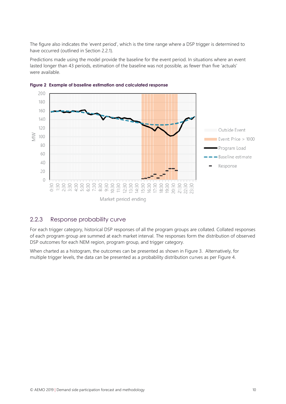The figure also indicates the 'event period', which is the time range where a DSP trigger is determined to have occurred (outlined in Section 2.2.1).

Predictions made using the model provide the baseline for the event period. In situations where an event lasted longer than 43 periods, estimation of the baseline was not possible, as fewer than five 'actuals' were available.



<span id="page-9-0"></span>**Figure 2 Example of baseline estimation and calculated response**

#### 2.2.3 Response probability curve

For each trigger category, historical DSP responses of all the program groups are collated. Collated responses of each program group are summed at each market interval. The responses form the distribution of observed DSP outcomes for each NEM region, program group, and trigger category.

When charted as a histogram, the outcomes can be presented as shown in [Figure 3.](#page-10-0) Alternatively, for multiple trigger levels, the data can be presented as a probability distribution curves as pe[r Figure 4.](#page-11-2)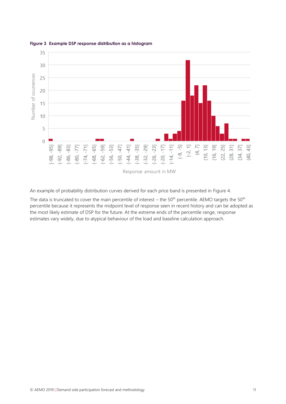

<span id="page-10-0"></span>

An example of probability distribution curves derived for each price band is presented in [Figure 4.](#page-11-2)

The data is truncated to cover the main percentile of interest – the 50<sup>th</sup> percentile. AEMO targets the 50<sup>th</sup> percentile because it represents the midpoint level of response seen in recent history and can be adopted as the most likely estimate of DSP for the future. At the extreme ends of the percentile range, response estimates vary widely, due to atypical behaviour of the load and baseline calculation approach.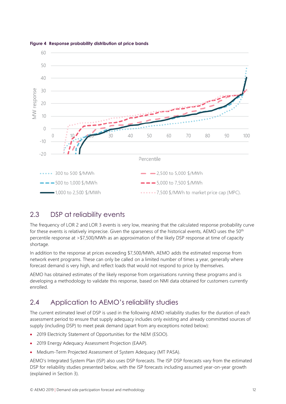

#### <span id="page-11-2"></span>**Figure 4 Response probability distribution at price bands**

## <span id="page-11-0"></span>2.3 DSP at reliability events

The frequency of LOR 2 and LOR 3 events is very low, meaning that the calculated response probability curve for these events is relatively imprecise. Given the sparseness of the historical events, AEMO uses the 50<sup>th</sup> percentile response at >\$7,500/MWh as an approximation of the likely DSP response at time of capacity shortage.

In addition to the response at prices exceeding \$7,500/MWh, AEMO adds the estimated response from network event programs. These can only be called on a limited number of times a year, generally where forecast demand is very high, and reflect loads that would not respond to price by themselves.

AEMO has obtained estimates of the likely response from organisations running these programs and is developing a methodology to validate this response, based on NMI data obtained for customers currently enrolled.

## <span id="page-11-1"></span>2.4 Application to AEMO's reliability studies

The current estimated level of DSP is used in the following AEMO reliability studies for the duration of each assessment period to ensure that supply adequacy includes only existing and already committed sources of supply (including DSP) to meet peak demand (apart from any exceptions noted below):

- 2019 Electricity Statement of Opportunities for the NEM (ESOO).
- 2019 Energy Adequacy Assessment Projection (EAAP).
- Medium-Term Projected Assessment of System Adequacy (MT PASA).

AEMO's Integrated System Plan (ISP) also uses DSP forecasts. The ISP DSP forecasts vary from the estimated DSP for reliability studies presented below, with the ISP forecasts including assumed year-on-year growth (explained in Section 3).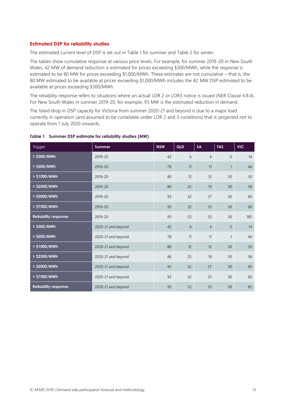#### **Estimated DSP for reliability studies**

The estimated current level of DSP is set out i[n Table 1](#page-12-0) for summer an[d Table 2](#page-13-1) for winter.

The tables show cumulative response at various price levels. For example, for summer 2019-20 in New South Wales, 42 MW of demand reduction is estimated for prices exceeding \$300/MWh, while the response is estimated to be 80 MW for prices exceeding \$1,000/MWh. These estimates are not cumulative – that is, the 80 MW estimated to be available at prices exceeding \$1,000/MWh includes the 42 MW DSP estimated to be available at prices exceeding \$300/MWh.

The reliability response refers to situations where an actual LOR 2 or LOR3 notice is issued (NER Clause 4.8.4). For New South Wales in summer 2019-20, for example, 93 MW is the estimated reduction in demand.

The listed drop in DSP capacity for Victoria from summer 2020-21 and beyond is due to a major load currently in operation (and assumed to be curtailable under LOR 2 and 3 conditions) that is projected not to operate from 1 July 2020 onwards.

| <b>Trigger</b>              | Summer             | <b>NSW</b> | QLD | <b>SA</b>      | <b>TAS</b>   | <b>VIC</b> |
|-----------------------------|--------------------|------------|-----|----------------|--------------|------------|
| > \$300/MWh                 | 2019-20            | 42         | 6   | $\overline{4}$ | $\mathbf 0$  | 14         |
| > \$500/MWh                 | 2019-20            | 78         | 11  | 11             | $\mathbf{1}$ | 46         |
| > \$1000/MWh                | 2019-20            | 80         | 12  | 12             | 30           | 50         |
| > \$2500/MWh                | 2019-20            | 86         | 25  | 19             | 30           | 58         |
| > \$5000/MWh                | 2019-20            | 93         | 32  | 27             | 30           | 60         |
| > \$7500/MWh                | 2019-20            | 93         | 32  | 33             | 30           | 60         |
| <b>Reliability response</b> | 2019-20            | 93         | 52  | 33             | 30           | 185        |
| > \$300/MWh                 | 2020-21 and beyond | 42         | 6   | $\overline{4}$ | $\Omega$     | 14         |
| > \$500/MWh                 | 2020-21 and beyond | 78         | 11  | 11             | $\mathbf{1}$ | 46         |
| > \$1000/MWh                | 2020-21 and beyond | 80         | 12  | 12             | 30           | 50         |
| > \$2500/MWh                | 2020-21 and beyond | 86         | 25  | 19             | 30           | 58         |
| > \$5000/MWh                | 2020-21 and beyond | 93         | 32  | 27             | 30           | 60         |
| > \$7500/MWh                | 2020-21 and beyond | 93         | 32  | 33             | 30           | 60         |
| <b>Religbility response</b> | 2020-21 and beyond | 93         | 52  | 33             | 30           | 85         |

#### <span id="page-12-0"></span>**Table 1 Summer DSP estimate for reliability studies (MW)**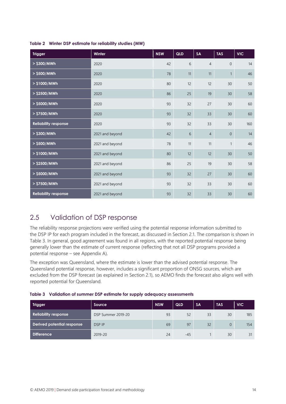| <b>Trigger</b>              | Winter          | <b>NSW</b> | QLD | <b>SA</b>      | <b>TAS</b>     | <b>VIC</b> |
|-----------------------------|-----------------|------------|-----|----------------|----------------|------------|
| > \$300/MWh                 | 2020            | 42         | 6   | $\overline{4}$ | $\overline{0}$ | 14         |
| > \$500/MWh                 | 2020            | 78         | 11  | 11             | $\mathbf{1}$   | 46         |
| > \$1000/MWh                | 2020            | 80         | 12  | 12             | 30             | 50         |
| > \$2500/MWh                | 2020            | 86         | 25  | 19             | 30             | 58         |
| > \$5000/MWh                | 2020            | 93         | 32  | 27             | 30             | 60         |
| > \$7500/MWh                | 2020            | 93         | 32  | 33             | 30             | 60         |
| <b>Reliability response</b> | 2020            | 93         | 32  | 33             | 30             | 160        |
| > \$300/MWh                 | 2021 and beyond | 42         | 6   | $\overline{4}$ | $\overline{0}$ | 14         |
| > \$500/MWh                 | 2021 and beyond | 78         | 11  | 11             | $\mathbf{1}$   | 46         |
| > \$1000/MWh                | 2021 and beyond | 80         | 12  | 12             | 30             | 50         |
| > \$2500/MWh                | 2021 and beyond | 86         | 25  | 19             | 30             | 58         |
| > \$5000/MWh                | 2021 and beyond | 93         | 32  | 27             | 30             | 60         |
| > \$7500/MWh                | 2021 and beyond | 93         | 32  | 33             | 30             | 60         |
| <b>Reliability response</b> | 2021 and beyond | 93         | 32  | 33             | 30             | 60         |

<span id="page-13-1"></span>**Table 2 Winter DSP estimate for reliability studies (MW)**

## <span id="page-13-0"></span>2.5 Validation of DSP response

The reliability response projections were verified using the potential response information submitted to the DSP IP for each program included in the forecast, as discussed in Section [2.1.](#page-6-1) The comparison is shown in [Table 3.](#page-13-2) In general, good agreement was found in all regions, with the reported potential response being generally lower than the estimate of current response (reflecting that not all DSP programs provided a potential response – see Appendix A).

The exception was Queensland, where the estimate is lower than the advised potential response. The Queensland potential response, however, includes a significant proportion of ONSG sources, which are excluded from the DSP forecast (as explained in Section 2.1), so AEMO finds the forecast also aligns well with reported potential for Queensland.

<span id="page-13-2"></span>

|  |  |  |  |  |  |  |  | Table 3 Validation of summer DSP estimate for supply adequacy assessments |
|--|--|--|--|--|--|--|--|---------------------------------------------------------------------------|
|--|--|--|--|--|--|--|--|---------------------------------------------------------------------------|

| <b>Trigger</b>              | Source             | <b>NSW</b> | <b>QLD</b> | <b>SA</b> | <b>TAS</b> | <b>VIC</b> |
|-----------------------------|--------------------|------------|------------|-----------|------------|------------|
| <b>Reliability response</b> | DSP Summer 2019-20 | 93         | 52         | 33        | 30         | 185        |
| Derived potential response  | <b>DSP IP</b>      | 69         | 97         | 32        |            | 154        |
| <b>Difference</b>           | 2019-20            | 24         | $-45$      |           | 30         | 31         |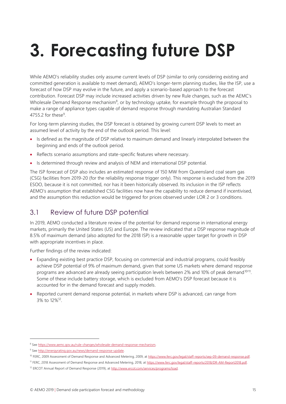# <span id="page-14-0"></span>**3. Forecasting future DSP**

While AEMO's reliability studies only assume current levels of DSP (similar to only considering existing and committed generation is available to meet demand), AEMO's longer-term planning studies, like the ISP, use a forecast of how DSP may evolve in the future, and apply a scenario-based approach to the forecast contribution. Forecast DSP may include increased activities driven by new Rule changes, such as the AEMC's Wholesale Demand Response mechanism<sup>8</sup>, or by technology uptake, for example through the proposal to make a range of appliance types capable of demand response through mandating Australian Standard  $4755.2$  for these<sup>9</sup>.

For long-term planning studies, the DSP forecast is obtained by growing current DSP levels to meet an assumed level of activity by the end of the outlook period. This level:

- Is defined as the magnitude of DSP relative to maximum demand and linearly interpolated between the beginning and ends of the outlook period.
- Reflects scenario assumptions and state-specific features where necessary.
- Is determined through review and analysis of NEM and international DSP potential.

The ISP forecast of DSP also includes an estimated response of 150 MW from Queensland coal seam gas (CSG) facilities from 2019-20 (for the reliability response trigger only). This response is excluded from the 2019 ESOO, because it is not committed, nor has it been historically observed. Its inclusion in the ISP reflects AEMO's assumption that established CSG facilities now have the capability to reduce demand if incentivised, and the assumption this reduction would be triggered for prices observed under LOR 2 or 3 conditions.

## <span id="page-14-1"></span>3.1 Review of future DSP potential

In 2019, AEMO conducted a literature review of the potential for demand response in international energy markets, primarily the United States (US) and Europe. The review indicated that a DSP response magnitude of 8.5% of maximum demand (also adopted for the 2018 ISP) is a reasonable upper target for growth in DSP with appropriate incentives in place.

Further findings of the review indicated:

- Expanding existing best practice DSP, focusing on commercial and industrial programs, could feasibly achieve DSP potential of 9% of maximum demand, given that some US markets where demand response programs are advanced are already seeing participation levels between 2% and 10% of peak demand<sup>10/11</sup>. Some of these include battery storage, which is excluded from AEMO's DSP forecast because it is accounted for in the demand forecast and supply models.
- Reported current demand response potential, in markets where DSP is advanced, can range from 3% to 12%<sup>12</sup>.

<sup>8</sup> Se[e https://www.aemc.gov.au/rule-changes/wholesale-demand-response-mechanism.](https://www.aemc.gov.au/rule-changes/wholesale-demand-response-mechanism)

<sup>&</sup>lt;sup>9</sup> Se[e http://energyrating.gov.au/news/demand-response-update.](http://energyrating.gov.au/news/demand-response-update)

<sup>&</sup>lt;sup>10</sup> FERC, 2009 Assessment of Demand Response and Advanced Metering, 2009, a[t https://www.ferc.gov/legal/staff-reports/sep-09-demand-response.pdf.](https://www.ferc.gov/legal/staff-reports/sep-09-demand-response.pdf)

<sup>11</sup> FERC, 2018 Assessment of Demand Response and Advanced Metering, 2018, at [https://www.ferc.gov/legal/staff-reports/2018/DR-AM-Report2018.pdf.](https://www.ferc.gov/legal/staff-reports/2018/DR-AM-Report2018.pdf)

<sup>&</sup>lt;sup>12</sup> ERCOT Annual Report of Demand Response (2019), a[t http://www.ercot.com/services/programs/load.](http://www.ercot.com/services/programs/load)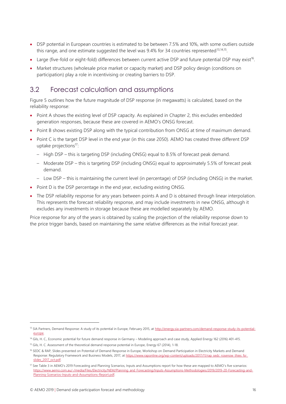- DSP potential in European countries is estimated to be between 7.5% and 10%, with some outliers outside this range, and one estimate suggested the level was  $9.4\%$  for 34 countries represented  $13,14,15$ .
- Large (five-fold or eight-fold) differences between current active DSP and future potential DSP may exist<sup>16</sup>.
- Market structures (wholesale price market or capacity market) and DSP policy design (conditions on participation) play a role in incentivising or creating barriers to DSP.

### <span id="page-15-0"></span>3.2 Forecast calculation and assumptions

[Figure 5](#page-16-1) outlines how the future magnitude of DSP response (in megawatts) is calculated, based on the reliability response:

- Point A shows the existing level of DSP capacity. As explained in Chapter [2,](#page-6-0) this excludes embedded generation responses, because these are covered in AEMO's ONSG forecast.
- Point B shows existing DSP along with the typical contribution from ONSG at time of maximum demand.
- Point C is the target DSP level in the end year (in this case 2050). AEMO has created three different DSP uptake projections<sup>17</sup>:
	- High DSP this is targeting DSP (including ONSG) equal to 8.5% of forecast peak demand.
	- Moderate DSP this is targeting DSP (including ONSG) equal to approximately 5.5% of forecast peak demand.
	- Low DSP this is maintaining the current level (in percentage) of DSP (including ONSG) in the market.
- Point D is the DSP percentage in the end year, excluding existing ONSG.
- The DSP reliability response for any years between points A and D is obtained through linear interpolation. This represents the forecast reliability response, and may include investments in new ONSG, although it excludes any investments in storage because these are modelled separately by AEMO.

Price response for any of the years is obtained by scaling the projection of the reliability response down to the price trigger bands, based on maintaining the same relative differences as the initial forecast year.

<sup>&</sup>lt;sup>13</sup> SIA Partners, Demand Response: A study of its potential in Europe, February 2015, a[t http://energy.sia-partners.com/demand-response-study-its-potential](http://energy.sia-partners.com/demand-response-study-its-potential-europe)[europe.](http://energy.sia-partners.com/demand-response-study-its-potential-europe)

<sup>&</sup>lt;sup>14</sup> Gils, H. C., Economic potential for future demand response in Germany – Modeling approach and case study, Applied Energy 162 (2016) 401-415.

<sup>&</sup>lt;sup>15</sup> Gils, H. C. Assessment of the theoretical demand response potential in Europe, Energy 67 (2014), 1-18.

<sup>&</sup>lt;sup>16</sup> SEDC & RAP, Slides presented on Potential of Demand Response in Europe, Workshop on Demand Participation in Electricity Markets and Demand Response: Regulatory Framework and Business Models, 2017, at https://www.raponline.org/wp-content/uploads/2017/11/rap\_sedc\_rose [slides\\_2017\\_oct.pdf.](https://www.raponline.org/wp-content/uploads/2017/11/rap_sedc_rosenow_thies_fsr_slides_2017_oct.pdf)

<sup>17</sup> See Table 3 in AEMO's 2019 Forecasting and Planning Scenarios, Inputs and Assumptions report for how these are mapped to AEMO's five scenarios: [https://www.aemo.com.au/-/media/Files/Electricity/NEM/Planning\\_and\\_Forecasting/Inputs-Assumptions-Methodologies/2019/2019-20-Forecasting-and-](https://www.aemo.com.au/-/media/Files/Electricity/NEM/Planning_and_Forecasting/Inputs-Assumptions-Methodologies/2019/2019-20-Forecasting-and-Planning-Scenarios-Inputs-and-Assumptions-Report.pdf)[Planning-Scenarios-Inputs-and-Assumptions-Report.pdf.](https://www.aemo.com.au/-/media/Files/Electricity/NEM/Planning_and_Forecasting/Inputs-Assumptions-Methodologies/2019/2019-20-Forecasting-and-Planning-Scenarios-Inputs-and-Assumptions-Report.pdf)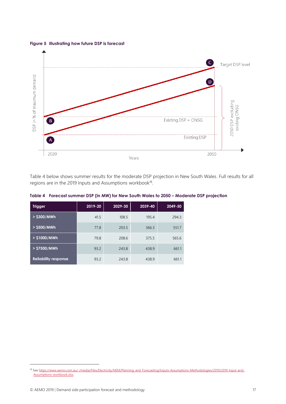<span id="page-16-1"></span>



Table 4 below shows summer results for the moderate DSP projection in New South Wales. Full results for all regions are in the 2019 Inputs and Assumptions workbook<sup>18</sup>.

| <b>Trigger</b>              | 2019-20 | 2029-30 | 2039-40 | 2049-50 |
|-----------------------------|---------|---------|---------|---------|
| > \$300/MWh                 | 41.5    | 108.5   | 195.4   | 294.3   |
| > \$500/MWh                 | 77.8    | 203.5   | 366.3   | 551.7   |
| $>$ \$1000/MWh              | 79.8    | 208.6   | 375.5   | 565.6   |
| > \$7500/MWh                | 93.2    | 243.8   | 438.9   | 661.1   |
| <b>Reliability response</b> | 93.2    | 243.8   | 438.9   | 661.1   |

<span id="page-16-0"></span>**Table 4 Forecast summer DSP (in MW) for New South Wales to 2050 – Moderate DSP projection**

<sup>18</sup> Se[e https://www.aemo.com.au/-/media/Files/Electricity/NEM/Planning\\_and\\_Forecasting/Inputs-Assumptions-Methodologies/2019/2019-Input-and-](https://www.aemo.com.au/-/media/Files/Electricity/NEM/Planning_and_Forecasting/Inputs-Assumptions-Methodologies/2019/2019-Input-and-Assumptions-workbook.xlsx)Assumptions-workbook.xlsx.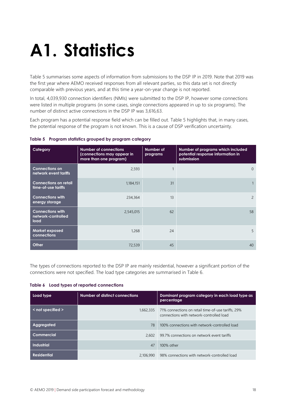# <span id="page-17-0"></span>**A1. Statistics**

[Table 5](#page-17-1) summarises some aspects of information from submissions to the DSP IP in 2019. Note that 2019 was the first year where AEMO received responses from all relevant parties, so this data set is not directly comparable with previous years, and at this time a year-on-year change is not reported.

In total, 4,039,930 connection identifiers (NMIs) were submitted to the DSP IP, however some connections were listed in multiple programs (in some cases, single connections appeared in up to six programs). The number of distinct active connections in the DSP IP was 3,616,63.

Each program has a potential response field which can be filled out. [Table 5](#page-17-1) highlights that, in many cases, the potential response of the program is not known. This is a cause of DSP verification uncertainty.

| Category                                              | <b>Number of connections</b><br>(connections may appear in<br>more than one program) | Number of<br>programs | Number of programs which included<br>potential response information in<br>submission |
|-------------------------------------------------------|--------------------------------------------------------------------------------------|-----------------------|--------------------------------------------------------------------------------------|
| <b>Connections on</b><br>network event tariffs        | 2,593                                                                                |                       | $\Omega$                                                                             |
| <b>Connections on retail</b><br>time-of-use tariffs   | 1,184,151                                                                            | 31                    |                                                                                      |
| <b>Connections with</b><br>energy storage             | 234,364                                                                              | 13                    | 2                                                                                    |
| <b>Connections with</b><br>network-controlled<br>load | 2,545,015                                                                            | 62                    | 58                                                                                   |
| <b>Market exposed</b><br>connections                  | 1,268                                                                                | 24                    | 5                                                                                    |
| Other                                                 | 72,539                                                                               | 45                    | 40                                                                                   |

#### <span id="page-17-1"></span>**Table 5 Program statistics grouped by program category**

The types of connections reported to the DSP IP are mainly residential, however a significant portion of the connections were not specified. The load type categories are summarised in [Table 6.](#page-17-2)

<span id="page-17-2"></span>

|  |  | Table 6 Load types of reported connections |
|--|--|--------------------------------------------|

| Load type                   | Number of distinct connections | Dominant program category in each load type as<br>percentage                                   |
|-----------------------------|--------------------------------|------------------------------------------------------------------------------------------------|
| $\leq$ not specified $\geq$ | 1,662,335                      | 71% connections on retail time-of-use tariffs, 29%<br>connections with network-controlled load |
| Aggregated                  | 78                             | 100% connections with network-controlled load                                                  |
| Commercial                  | 2.602                          | 99.7% connections on network event tariffs                                                     |
| <b>Industrial</b>           | 47                             | 100% other                                                                                     |
| <b>Residential</b>          | 2.106.990                      | 98% connections with network-controlled load                                                   |